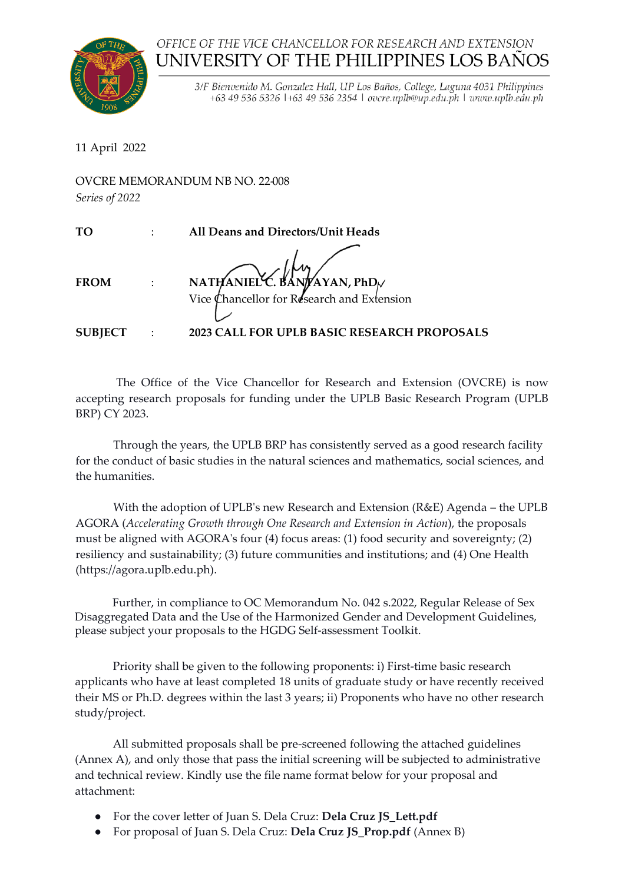

## OFFICE OF THE VICE CHANCELLOR FOR RESEARCH AND EXTENSION UNIVERSITY OF THE PHILIPPINES LOS BAÑOS

3/F Bienvenido M. Gonzalez Hall, UP Los Baños, College, Laguna 4031 Philippines +63 49 536 5326 1+63 49 536 2354 1 ovcre.uplb@up.edu.ph | www.uplb.edu.ph

11 April 2022

 $\overline{O}$ VCRE MEMORANDUM NB NO. 22.008

| Series of 2022 | O V CINE IVIEIVIOINTI VIDUIVI TVD TVO. 22 JOO |
|----------------|-----------------------------------------------|
| TO             | All Deans and Directors/Unit Heads            |
| <b>FROM</b>    | NATHANIEL C. BANTAYAN, PhD                    |
| <b>SUBJECT</b> | 2023 CALL FOR UPLB BASIC RESEARCH PROPOSALS   |

The Office of the Vice Chancellor for Research and Extension (OVCRE) is now accepting research proposals for funding under the UPLB Basic Research Program (UPLB BRP) CY 2023.

Through the years, the UPLB BRP has consistently served as a good research facility for the conduct of basic studies in the natural sciences and mathematics, social sciences, and the humanities.

With the adoption of UPLB's new Research and Extension (R&E) Agenda – the UPLB AGORA (*Accelerating Growth through One Research and Extension in Action*), the proposals must be aligned with AGORA's four (4) focus areas: (1) food security and sovereignty; (2) resiliency and sustainability; (3) future communities and institutions; and (4) One Health (https://agora.uplb.edu.ph).

 Further, in compliance to OC Memorandum No. 042 s.2022, Regular Release of Sex Disaggregated Data and the Use of the Harmonized Gender and Development Guidelines, please subject your proposals to the HGDG Self-assessment Toolkit.

Priority shall be given to the following proponents: i) First-time basic research applicants who have at least completed 18 units of graduate study or have recently received their MS or Ph.D. degrees within the last 3 years; ii) Proponents who have no other research study/project.

All submitted proposals shall be pre-screened following the attached guidelines (Annex A), and only those that pass the initial screening will be subjected to administrative and technical review. Kindly use the file name format below for your proposal and attachment:

- For the cover letter of Juan S. Dela Cruz: **Dela Cruz JS\_Lett.pdf**
- For proposal of Juan S. Dela Cruz: **Dela Cruz JS\_Prop.pdf** (Annex B)